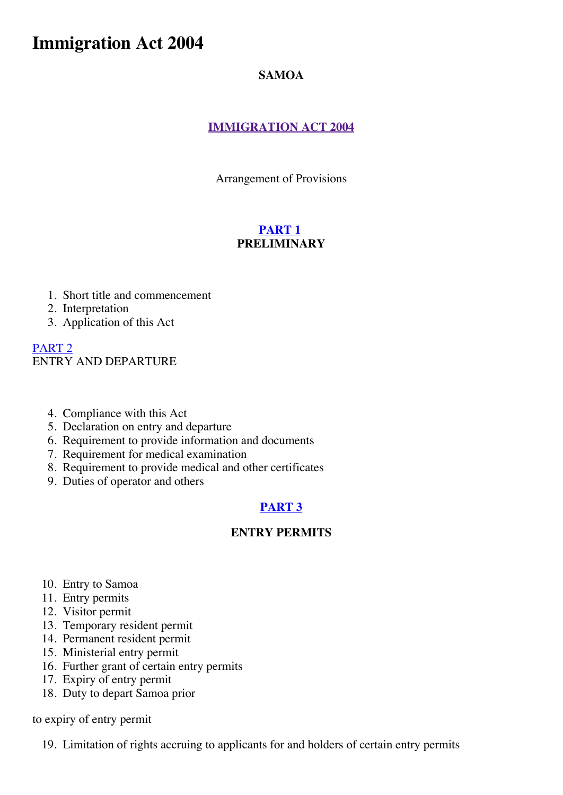# **Immigration Act 2004**

### **SAMOA**

### **[IMMIGRATION](http://www.paclii.org/ws/legis/consol_act/ia2004138/) ACT 2004**

Arrangement of Provisions

### **[PART](http://www.paclii.org/ws/legis/consol_act/ia2004138/index.html#p1) 1 PRELIMINARY**

- 1. Short title and commencement
- 2. Interpretation
- 3. Application of this Act

[PART](http://www.paclii.org/ws/legis/consol_act/ia2004138/index.html#p2) 2 ENTRY AND DEPARTURE

- 4. Compliance with this Act
- 5. Declaration on entry and departure
- 6. Requirement to provide information and documents
- 7. Requirement for medical examination
- 8. Requirement to provide medical and other certificates
- 9. Duties of operator and others

### **[PART](http://www.paclii.org/ws/legis/consol_act/ia2004138/index.html#p3) 3**

### **ENTRY PERMITS**

- 10. Entry to Samoa
- 11. Entry permits
- 12. Visitor permit
- 13. Temporary resident permit
- 14. Permanent resident permit
- 15. Ministerial entry permit
- 16. Further grant of certain entry permits
- 17. Expiry of entry permit
- 18. Duty to depart Samoa prior

#### to expiry of entry permit

19. Limitation of rights accruing to applicants for and holders of certain entry permits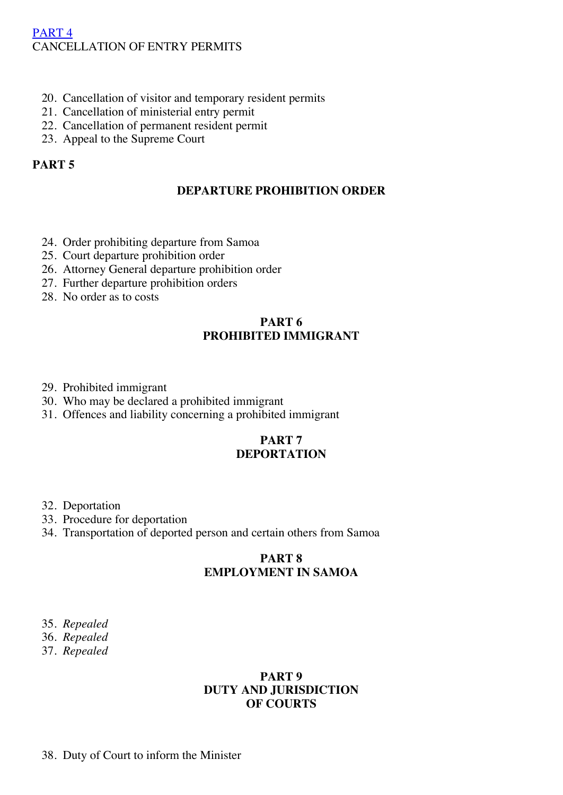### [PART](http://www.paclii.org/ws/legis/consol_act/ia2004138/index.html#p4) 4 CANCELLATION OF ENTRY PERMITS

- 20. Cancellation of visitor and temporary resident permits
- 21. Cancellation of ministerial entry permit
- 22. Cancellation of permanent resident permit
- 23. Appeal to the Supreme Court

### **PART 5**

#### **DEPARTURE PROHIBITION ORDER**

- 24. Order prohibiting departure from Samoa
- 25. Court departure prohibition order
- 26. Attorney General departure prohibition order
- 27. Further departure prohibition orders
- 28. No order as to costs

### **PART 6 PROHIBITED IMMIGRANT**

- 29. Prohibited immigrant
- 30. Who may be declared a prohibited immigrant
- 31. Offences and liability concerning a prohibited immigrant

#### **PART 7 DEPORTATION**

- 32. Deportation
- 33. Procedure for deportation
- 34. Transportation of deported person and certain others from Samoa

### **PART 8 EMPLOYMENT IN SAMOA**

- 35. *Repealed*
- 36. *Repealed*
- 37. *Repealed*

#### **PART 9 DUTY AND JURISDICTION OF COURTS**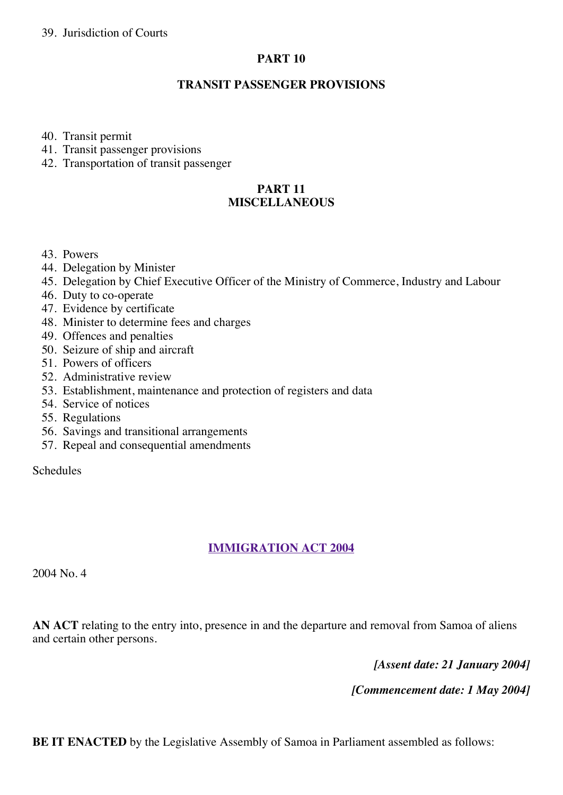#### **PART 10**

#### **TRANSIT PASSENGER PROVISIONS**

40. Transit permit

- 41. Transit passenger provisions
- 42. Transportation of transit passenger

#### **PART 11 MISCELLANEOUS**

- 43. Powers
- 44. Delegation by Minister
- 45. Delegation by Chief Executive Officer of the Ministry of Commerce, Industry and Labour
- 46. Duty to co-operate
- 47. Evidence by certificate
- 48. Minister to determine fees and charges
- 49. Offences and penalties
- 50. Seizure of ship and aircraft
- 51. Powers of officers
- 52. Administrative review
- 53. Establishment, maintenance and protection of registers and data
- 54. Service of notices
- 55. Regulations
- 56. Savings and transitional arrangements
- 57. Repeal and consequential amendments

Schedules

### **[IMMIGRATION](http://www.paclii.org/ws/legis/consol_act/ia2004138/) ACT 2004**

2004 No. 4

**AN ACT** relating to the entry into, presence in and the departure and removal from Samoa of aliens and certain other persons.

*[Assent date: 21 January 2004]*

*[Commencement date: 1 May 2004]*

**BE IT ENACTED** by the Legislative Assembly of Samoa in Parliament assembled as follows: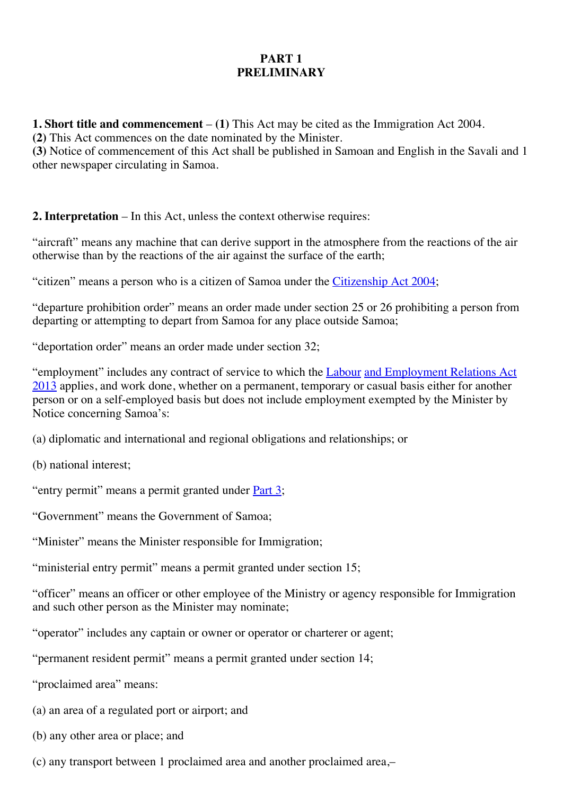### **PART 1 PRELIMINARY**

**1. Short title and commencement** – **(1)** This Act may be cited as the Immigration Act 2004.

**(2)** This Act commences on the date nominated by the Minister.

**(3)** Notice of commencement of this Act shall be published in Samoan and English in the Savali and 1 other newspaper circulating in Samoa.

**2. Interpretation** – In this Act, unless the context otherwise requires:

"aircraft" means any machine that can derive support in the atmosphere from the reactions of the air otherwise than by the reactions of the air against the surface of the earth;

"citizen" means a person who is a citizen of Samoa under the *[Citizenship](http://www.paclii.org/ws/legis/num_act/ca2004148/) Act 2004*;

"departure prohibition order" means an order made under section 25 or 26 prohibiting a person from departing or attempting to depart from Samoa for any place outside Samoa;

"deportation order" means an order made under section 32;

["employment"](http://www.paclii.org/ws/legis/consol_act/laera2013332/) includes any contract of service to which the [Labour](http://www.paclii.org/ws/legis/consol_act/laera2013332/) and Employment Relations Act 2013 applies, and work done, whether on a permanent, temporary or casual basis either for another person or on a self-employed basis but does not include employment exempted by the Minister by Notice concerning Samoa's:

(a) diplomatic and international and regional obligations and relationships; or

(b) national interest;

"entry permit" means a permit granted under **[Part](http://www.paclii.org/ws/legis/consol_act/laera2013332/index.html#p3) 3**;

"Government" means the Government of Samoa;

"Minister" means the Minister responsible for Immigration;

"ministerial entry permit" means a permit granted under section 15;

"officer" means an officer or other employee of the Ministry or agency responsible for Immigration and such other person as the Minister may nominate;

"operator" includes any captain or owner or operator or charterer or agent;

"permanent resident permit" means a permit granted under section 14;

"proclaimed area" means:

- (a) an area of a regulated port or airport; and
- (b) any other area or place; and
- (c) any transport between 1 proclaimed area and another proclaimed area,–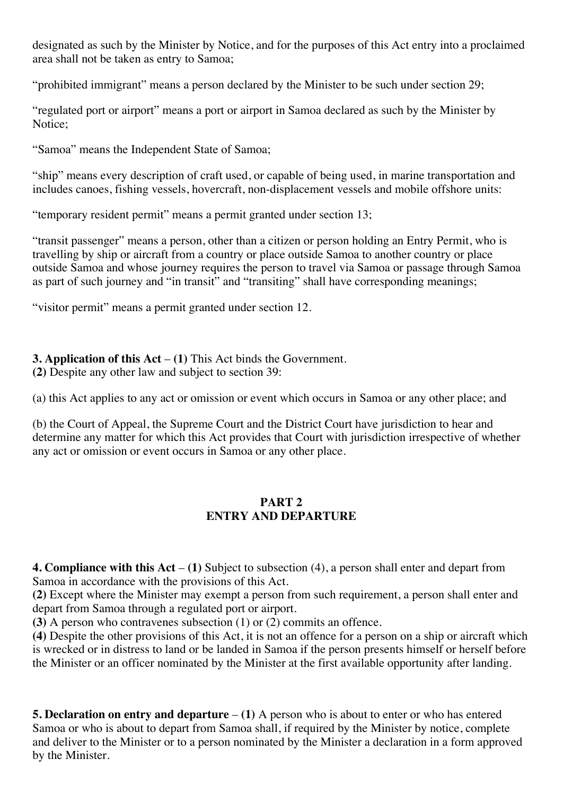designated as such by the Minister by Notice, and for the purposes of this Act entry into a proclaimed area shall not be taken as entry to Samoa;

"prohibited immigrant" means a person declared by the Minister to be such under section 29;

"regulated port or airport" means a port or airport in Samoa declared as such by the Minister by Notice;

"Samoa" means the Independent State of Samoa;

"ship" means every description of craft used, or capable of being used, in marine transportation and includes canoes, fishing vessels, hovercraft, non-displacement vessels and mobile offshore units:

"temporary resident permit" means a permit granted under section 13;

"transit passenger" means a person, other than a citizen or person holding an Entry Permit, who is travelling by ship or aircraft from a country or place outside Samoa to another country or place outside Samoa and whose journey requires the person to travel via Samoa or passage through Samoa as part of such journey and "in transit" and "transiting" shall have corresponding meanings;

"visitor permit" means a permit granted under section 12.

### **3. Application of this Act** – **(1)** This Act binds the Government.

**(2)** Despite any other law and subject to section 39:

(a) this Act applies to any act or omission or event which occurs in Samoa or any other place; and

(b) the Court of Appeal, the Supreme Court and the District Court have jurisdiction to hear and determine any matter for which this Act provides that Court with jurisdiction irrespective of whether any act or omission or event occurs in Samoa or any other place.

#### **PART 2 ENTRY AND DEPARTURE**

**4. Compliance with this Act** – **(1)** Subject to subsection (4), a person shall enter and depart from Samoa in accordance with the provisions of this Act.

**(2)** Except where the Minister may exempt a person from such requirement, a person shall enter and depart from Samoa through a regulated port or airport.

**(3)** A person who contravenes subsection (1) or (2) commits an offence.

**(4)** Despite the other provisions of this Act, it is not an offence for a person on a ship or aircraft which is wrecked or in distress to land or be landed in Samoa if the person presents himself or herself before the Minister or an officer nominated by the Minister at the first available opportunity after landing.

**5. Declaration on entry and departure** – **(1)** A person who is about to enter or who has entered Samoa or who is about to depart from Samoa shall, if required by the Minister by notice, complete and deliver to the Minister or to a person nominated by the Minister a declaration in a form approved by the Minister.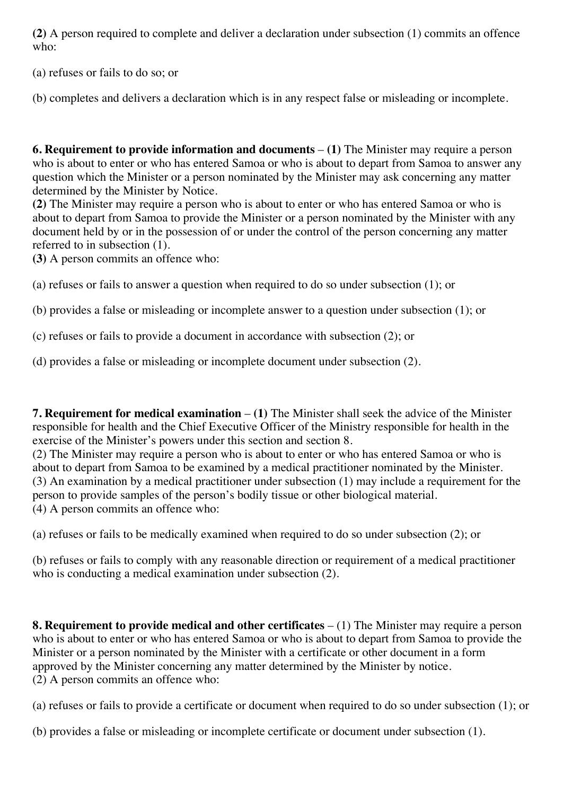**(2)** A person required to complete and deliver a declaration under subsection (1) commits an offence who:

(a) refuses or fails to do so; or

(b) completes and delivers a declaration which is in any respect false or misleading or incomplete.

**6. Requirement to provide information and documents** – **(1)** The Minister may require a person who is about to enter or who has entered Samoa or who is about to depart from Samoa to answer any question which the Minister or a person nominated by the Minister may ask concerning any matter determined by the Minister by Notice.

**(2)** The Minister may require a person who is about to enter or who has entered Samoa or who is about to depart from Samoa to provide the Minister or a person nominated by the Minister with any document held by or in the possession of or under the control of the person concerning any matter referred to in subsection (1).

**(3)** A person commits an offence who:

(a) refuses or fails to answer a question when required to do so under subsection (1); or

(b) provides a false or misleading or incomplete answer to a question under subsection (1); or

(c) refuses or fails to provide a document in accordance with subsection (2); or

(d) provides a false or misleading or incomplete document under subsection (2).

**7. Requirement for medical examination** – **(1)** The Minister shall seek the advice of the Minister responsible for health and the Chief Executive Officer of the Ministry responsible for health in the exercise of the Minister's powers under this section and section 8.

(2) The Minister may require a person who is about to enter or who has entered Samoa or who is about to depart from Samoa to be examined by a medical practitioner nominated by the Minister. (3) An examination by a medical practitioner under subsection (1) may include a requirement for the person to provide samples of the person's bodily tissue or other biological material. (4) A person commits an offence who:

(a) refuses or fails to be medically examined when required to do so under subsection (2); or

(b) refuses or fails to comply with any reasonable direction or requirement of a medical practitioner who is conducting a medical examination under subsection (2).

**8. Requirement to provide medical and other certificates** – (1) The Minister may require a person who is about to enter or who has entered Samoa or who is about to depart from Samoa to provide the Minister or a person nominated by the Minister with a certificate or other document in a form approved by the Minister concerning any matter determined by the Minister by notice. (2) A person commits an offence who:

(a) refuses or fails to provide a certificate or document when required to do so under subsection (1); or

(b) provides a false or misleading or incomplete certificate or document under subsection (1).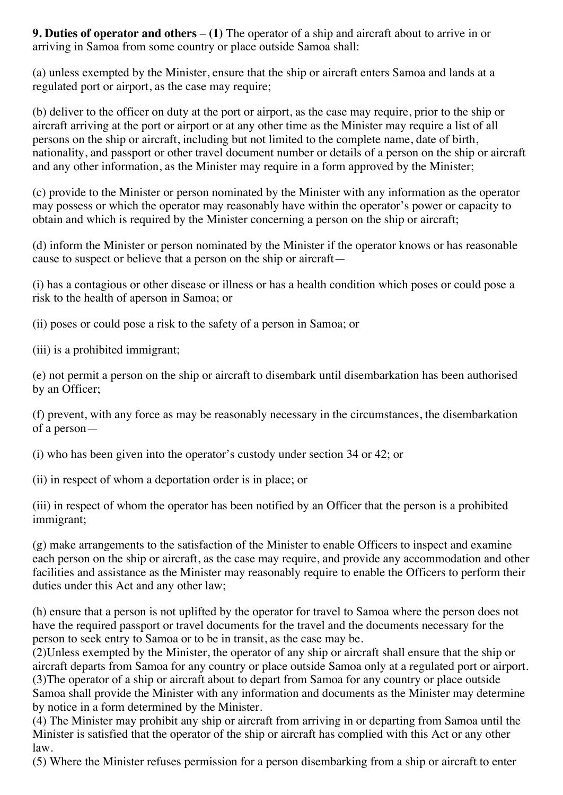**9. Duties of operator and others** – **(1)** The operator of a ship and aircraft about to arrive in or arriving in Samoa from some country or place outside Samoa shall:

(a) unless exempted by the Minister, ensure that the ship or aircraft enters Samoa and lands at a regulated port or airport, as the case may require;

(b) deliver to the officer on duty at the port or airport, as the case may require, prior to the ship or aircraft arriving at the port or airport or at any other time as the Minister may require a list of all persons on the ship or aircraft, including but not limited to the complete name, date of birth, nationality, and passport or other travel document number or details of a person on the ship or aircraft and any other information, as the Minister may require in a form approved by the Minister;

(c) provide to the Minister or person nominated by the Minister with any information as the operator may possess or which the operator may reasonably have within the operator's power or capacity to obtain and which is required by the Minister concerning a person on the ship or aircraft;

(d) inform the Minister or person nominated by the Minister if the operator knows or has reasonable cause to suspect or believe that a person on the ship or aircraft—

(i) has a contagious or other disease or illness or has a health condition which poses or could pose a risk to the health of aperson in Samoa; or

(ii) poses or could pose a risk to the safety of a person in Samoa; or

(iii) is a prohibited immigrant;

(e) not permit a person on the ship or aircraft to disembark until disembarkation has been authorised by an Officer;

(f) prevent, with any force as may be reasonably necessary in the circumstances, the disembarkation of a person—

(i) who has been given into the operator's custody under section 34 or 42; or

(ii) in respect of whom a deportation order is in place; or

(iii) in respect of whom the operator has been notified by an Officer that the person is a prohibited immigrant;

(g) make arrangements to the satisfaction of the Minister to enable Officers to inspect and examine each person on the ship or aircraft, as the case may require, and provide any accommodation and other facilities and assistance as the Minister may reasonably require to enable the Officers to perform their duties under this Act and any other law;

(h) ensure that a person is not uplifted by the operator for travel to Samoa where the person does not have the required passport or travel documents for the travel and the documents necessary for the person to seek entry to Samoa or to be in transit, as the case may be.

(2)Unless exempted by the Minister, the operator of any ship or aircraft shall ensure that the ship or aircraft departs from Samoa for any country or place outside Samoa only at a regulated port or airport. (3)The operator of a ship or aircraft about to depart from Samoa for any country or place outside Samoa shall provide the Minister with any information and documents as the Minister may determine by notice in a form determined by the Minister.

(4) The Minister may prohibit any ship or aircraft from arriving in or departing from Samoa until the Minister is satisfied that the operator of the ship or aircraft has complied with this Act or any other law.

(5) Where the Minister refuses permission for a person disembarking from a ship or aircraft to enter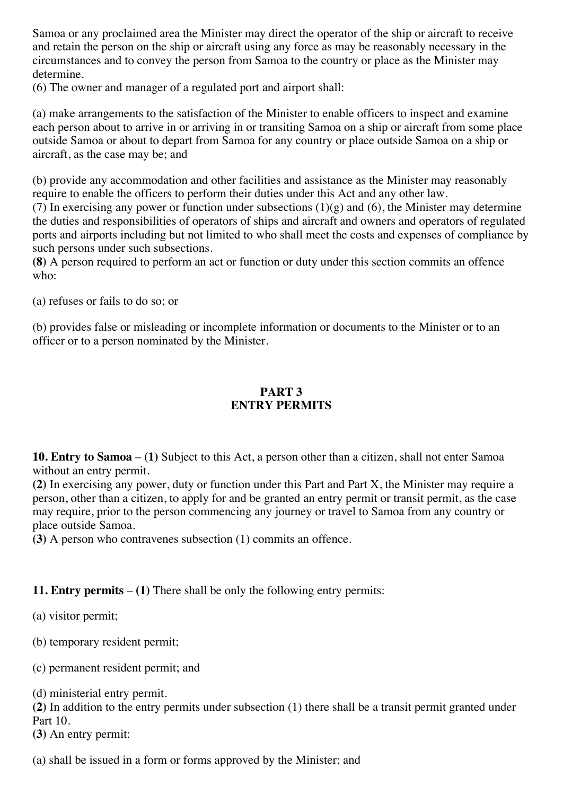Samoa or any proclaimed area the Minister may direct the operator of the ship or aircraft to receive and retain the person on the ship or aircraft using any force as may be reasonably necessary in the circumstances and to convey the person from Samoa to the country or place as the Minister may determine.

(6) The owner and manager of a regulated port and airport shall:

(a) make arrangements to the satisfaction of the Minister to enable officers to inspect and examine each person about to arrive in or arriving in or transiting Samoa on a ship or aircraft from some place outside Samoa or about to depart from Samoa for any country or place outside Samoa on a ship or aircraft, as the case may be; and

(b) provide any accommodation and other facilities and assistance as the Minister may reasonably require to enable the officers to perform their duties under this Act and any other law.

(7) In exercising any power or function under subsections  $(1)(g)$  and  $(6)$ , the Minister may determine the duties and responsibilities of operators of ships and aircraft and owners and operators of regulated ports and airports including but not limited to who shall meet the costs and expenses of compliance by such persons under such subsections.

**(8)** A person required to perform an act or function or duty under this section commits an offence who:

(a) refuses or fails to do so; or

(b) provides false or misleading or incomplete information or documents to the Minister or to an officer or to a person nominated by the Minister.

### **PART 3 ENTRY PERMITS**

**10. Entry to Samoa** – **(1)** Subject to this Act, a person other than a citizen, shall not enter Samoa without an entry permit.

**(2)** In exercising any power, duty or function under this Part and Part X, the Minister may require a person, other than a citizen, to apply for and be granted an entry permit or transit permit, as the case may require, prior to the person commencing any journey or travel to Samoa from any country or place outside Samoa.

**(3)** A person who contravenes subsection (1) commits an offence.

#### **11. Entry permits** – **(1)** There shall be only the following entry permits:

(a) visitor permit;

(b) temporary resident permit;

(c) permanent resident permit; and

(d) ministerial entry permit.

**(2)** In addition to the entry permits under subsection (1) there shall be a transit permit granted under Part 10.

**(3)** An entry permit:

(a) shall be issued in a form or forms approved by the Minister; and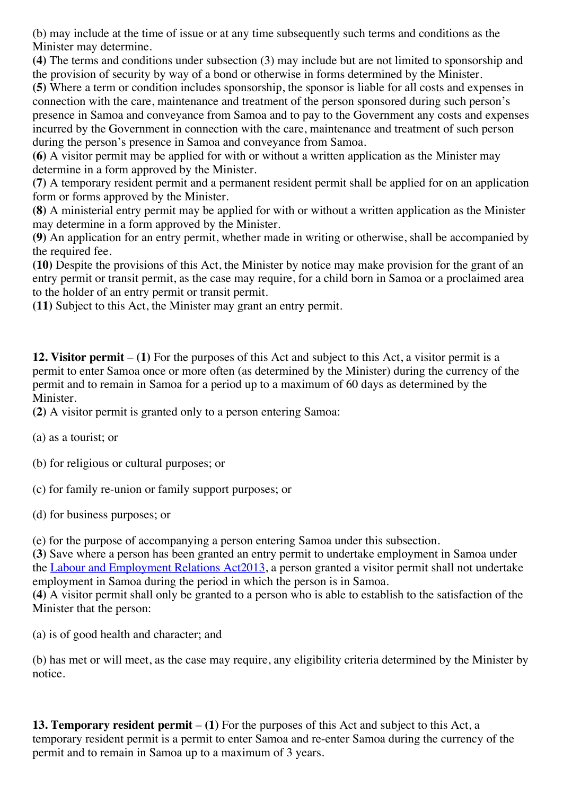(b) may include at the time of issue or at any time subsequently such terms and conditions as the Minister may determine.

**(4)** The terms and conditions under subsection (3) may include but are not limited to sponsorship and the provision of security by way of a bond or otherwise in forms determined by the Minister.

**(5)** Where a term or condition includes sponsorship, the sponsor is liable for all costs and expenses in connection with the care, maintenance and treatment of the person sponsored during such person's presence in Samoa and conveyance from Samoa and to pay to the Government any costs and expenses incurred by the Government in connection with the care, maintenance and treatment of such person during the person's presence in Samoa and conveyance from Samoa.

**(6)** A visitor permit may be applied for with or without a written application as the Minister may determine in a form approved by the Minister.

**(7)** A temporary resident permit and a permanent resident permit shall be applied for on an application form or forms approved by the Minister.

**(8)** A ministerial entry permit may be applied for with or without a written application as the Minister may determine in a form approved by the Minister.

**(9)** An application for an entry permit, whether made in writing or otherwise, shall be accompanied by the required fee.

**(10)** Despite the provisions of this Act, the Minister by notice may make provision for the grant of an entry permit or transit permit, as the case may require, for a child born in Samoa or a proclaimed area to the holder of an entry permit or transit permit.

**(11)** Subject to this Act, the Minister may grant an entry permit.

**12. Visitor permit** – **(1)** For the purposes of this Act and subject to this Act, a visitor permit is a permit to enter Samoa once or more often (as determined by the Minister) during the currency of the permit and to remain in Samoa for a period up to a maximum of 60 days as determined by the Minister.

**(2)** A visitor permit is granted only to a person entering Samoa:

(a) as a tourist; or

(b) for religious or cultural purposes; or

(c) for family re-union or family support purposes; or

(d) for business purposes; or

(e) for the purpose of accompanying a person entering Samoa under this subsection.

**(3)** Save where a person has been granted an entry permit to undertake employment in Samoa under the Labour and [Employment](http://www.paclii.org/ws/legis/consol_act/laera2013332/) Relations Act[2013](http://www.paclii.org/ws/legis/consol_act/laera2013332/), a person granted a visitor permit shall not undertake employment in Samoa during the period in which the person is in Samoa.

**(4)** A visitor permit shall only be granted to a person who is able to establish to the satisfaction of the Minister that the person:

(a) is of good health and character; and

(b) has met or will meet, as the case may require, any eligibility criteria determined by the Minister by notice.

**13. Temporary resident permit** – **(1)** For the purposes of this Act and subject to this Act, a temporary resident permit is a permit to enter Samoa and re-enter Samoa during the currency of the permit and to remain in Samoa up to a maximum of 3 years.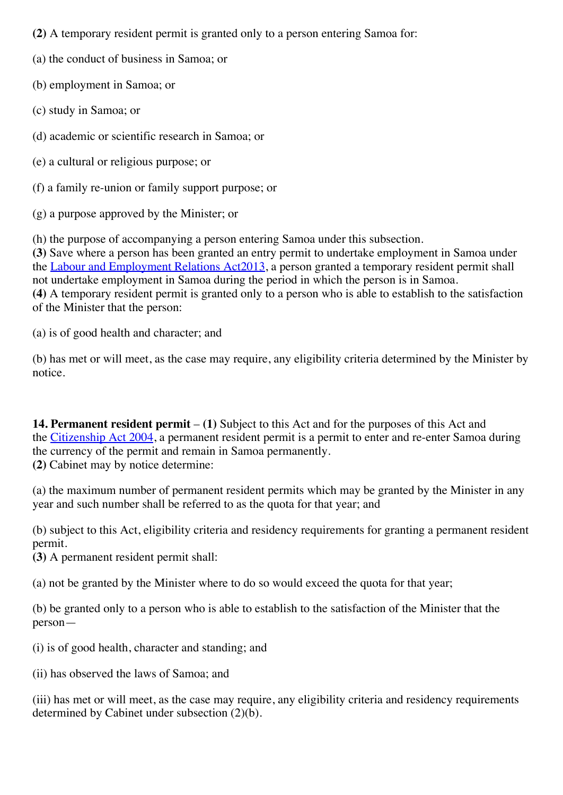**(2)** A temporary resident permit is granted only to a person entering Samoa for:

(a) the conduct of business in Samoa; or

(b) employment in Samoa; or

(c) study in Samoa; or

(d) academic or scientific research in Samoa; or

(e) a cultural or religious purpose; or

(f) a family re-union or family support purpose; or

(g) a purpose approved by the Minister; or

(h) the purpose of accompanying a person entering Samoa under this subsection.

**(3)** Save where a person has been granted an entry permit to undertake employment in Samoa under the Labour and [Employment](http://www.paclii.org/ws/legis/consol_act/laera2013332/) Relations Act[2013](http://www.paclii.org/ws/legis/consol_act/laera2013332/), a person granted a temporary resident permit shall not undertake employment in Samoa during the period in which the person is in Samoa. **(4)** A temporary resident permit is granted only to a person who is able to establish to the satisfaction of the Minister that the person:

(a) is of good health and character; and

(b) has met or will meet, as the case may require, any eligibility criteria determined by the Minister by notice.

**14. Permanent resident permit** – **(1)** Subject to this Act and for the purposes of this Act and the [Citizenship](http://www.paclii.org/ws/legis/num_act/ca2004148/) Act 2004, a permanent resident permit is a permit to enter and re-enter Samoa during the currency of the permit and remain in Samoa permanently. **(2)** Cabinet may by notice determine:

(a) the maximum number of permanent resident permits which may be granted by the Minister in any year and such number shall be referred to as the quota for that year; and

(b) subject to this Act, eligibility criteria and residency requirements for granting a permanent resident permit.

**(3)** A permanent resident permit shall:

(a) not be granted by the Minister where to do so would exceed the quota for that year;

(b) be granted only to a person who is able to establish to the satisfaction of the Minister that the person—

(i) is of good health, character and standing; and

(ii) has observed the laws of Samoa; and

(iii) has met or will meet, as the case may require, any eligibility criteria and residency requirements determined by Cabinet under subsection (2)(b).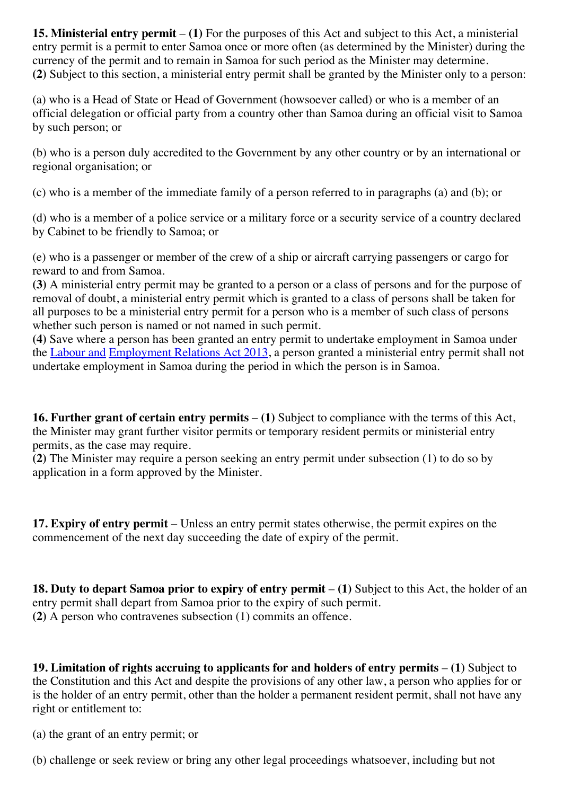**15. Ministerial entry permit** – **(1)** For the purposes of this Act and subject to this Act, a ministerial entry permit is a permit to enter Samoa once or more often (as determined by the Minister) during the currency of the permit and to remain in Samoa for such period as the Minister may determine. **(2)** Subject to this section, a ministerial entry permit shall be granted by the Minister only to a person:

(a) who is a Head of State or Head of Government (howsoever called) or who is a member of an official delegation or official party from a country other than Samoa during an official visit to Samoa by such person; or

(b) who is a person duly accredited to the Government by any other country or by an international or regional organisation; or

(c) who is a member of the immediate family of a person referred to in paragraphs (a) and (b); or

(d) who is a member of a police service or a military force or a security service of a country declared by Cabinet to be friendly to Samoa; or

(e) who is a passenger or member of the crew of a ship or aircraft carrying passengers or cargo for reward to and from Samoa.

**(3)** A ministerial entry permit may be granted to a person or a class of persons and for the purpose of removal of doubt, a ministerial entry permit which is granted to a class of persons shall be taken for all purposes to be a ministerial entry permit for a person who is a member of such class of persons whether such person is named or not named in such permit.

**(4)** Save where a person has been granted an entry permit to undertake employment in Samoa under the [Labour](http://www.paclii.org/ws/legis/consol_act/laera2013332/) and [Employment](http://www.paclii.org/ws/legis/consol_act/laera2013332/) Relations Act 2013, a person granted a ministerial entry permit shall not undertake employment in Samoa during the period in which the person is in Samoa.

**16. Further grant of certain entry permits** – **(1)** Subject to compliance with the terms of this Act, the Minister may grant further visitor permits or temporary resident permits or ministerial entry permits, as the case may require.

**(2)** The Minister may require a person seeking an entry permit under subsection (1) to do so by application in a form approved by the Minister.

**17. Expiry of entry permit** – Unless an entry permit states otherwise, the permit expires on the commencement of the next day succeeding the date of expiry of the permit.

**18. Duty to depart Samoa prior to expiry of entry permit** – **(1)** Subject to this Act, the holder of an entry permit shall depart from Samoa prior to the expiry of such permit. **(2)** A person who contravenes subsection (1) commits an offence.

**19. Limitation of rights accruing to applicants for and holders of entry permits** – **(1)** Subject to the Constitution and this Act and despite the provisions of any other law, a person who applies for or is the holder of an entry permit, other than the holder a permanent resident permit, shall not have any right or entitlement to:

(a) the grant of an entry permit; or

(b) challenge or seek review or bring any other legal proceedings whatsoever, including but not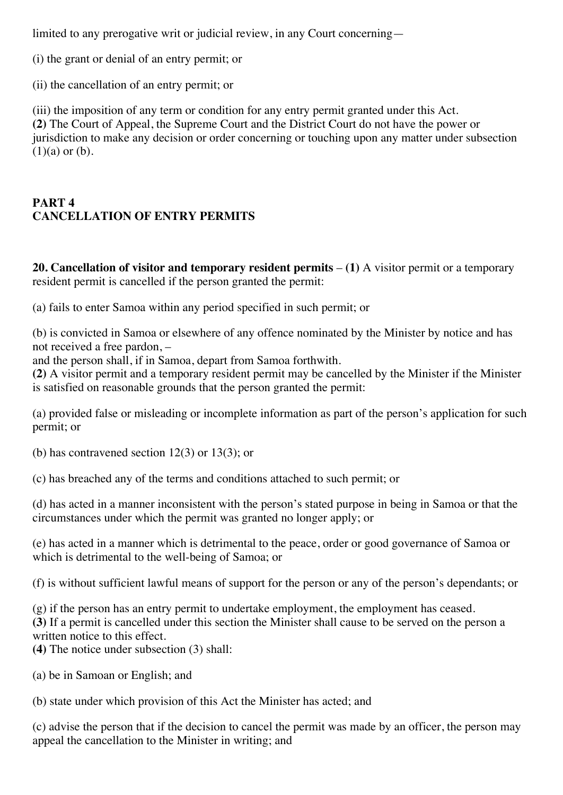limited to any prerogative writ or judicial review, in any Court concerning—

(i) the grant or denial of an entry permit; or

(ii) the cancellation of an entry permit; or

(iii) the imposition of any term or condition for any entry permit granted under this Act. **(2)** The Court of Appeal, the Supreme Court and the District Court do not have the power or jurisdiction to make any decision or order concerning or touching upon any matter under subsection  $(1)(a)$  or  $(b)$ .

### **PART 4 CANCELLATION OF ENTRY PERMITS**

**20. Cancellation of visitor and temporary resident permits** – **(1)** A visitor permit or a temporary resident permit is cancelled if the person granted the permit:

(a) fails to enter Samoa within any period specified in such permit; or

(b) is convicted in Samoa or elsewhere of any offence nominated by the Minister by notice and has not received a free pardon, –

and the person shall, if in Samoa, depart from Samoa forthwith.

**(2)** A visitor permit and a temporary resident permit may be cancelled by the Minister if the Minister is satisfied on reasonable grounds that the person granted the permit:

(a) provided false or misleading or incomplete information as part of the person's application for such permit; or

(b) has contravened section 12(3) or 13(3); or

(c) has breached any of the terms and conditions attached to such permit; or

(d) has acted in a manner inconsistent with the person's stated purpose in being in Samoa or that the circumstances under which the permit was granted no longer apply; or

(e) has acted in a manner which is detrimental to the peace, order or good governance of Samoa or which is detrimental to the well-being of Samoa; or

(f) is without sufficient lawful means of support for the person or any of the person's dependants; or

(g) if the person has an entry permit to undertake employment, the employment has ceased. **(3)** If a permit is cancelled under this section the Minister shall cause to be served on the person a written notice to this effect.

**(4)** The notice under subsection (3) shall:

(a) be in Samoan or English; and

(b) state under which provision of this Act the Minister has acted; and

(c) advise the person that if the decision to cancel the permit was made by an officer, the person may appeal the cancellation to the Minister in writing; and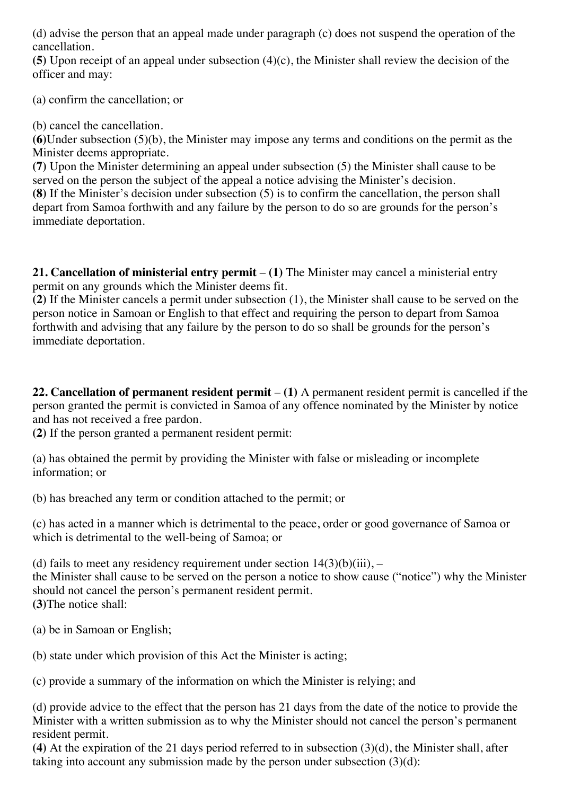(d) advise the person that an appeal made under paragraph (c) does not suspend the operation of the cancellation.

**(5)** Upon receipt of an appeal under subsection (4)(c), the Minister shall review the decision of the officer and may:

(a) confirm the cancellation; or

(b) cancel the cancellation.

**(6)**Under subsection (5)(b), the Minister may impose any terms and conditions on the permit as the Minister deems appropriate.

**(7)** Upon the Minister determining an appeal under subsection (5) the Minister shall cause to be served on the person the subject of the appeal a notice advising the Minister's decision.

**(8)** If the Minister's decision under subsection (5) is to confirm the cancellation, the person shall depart from Samoa forthwith and any failure by the person to do so are grounds for the person's immediate deportation.

**21. Cancellation of ministerial entry permit** – **(1)** The Minister may cancel a ministerial entry permit on any grounds which the Minister deems fit.

**(2)** If the Minister cancels a permit under subsection (1), the Minister shall cause to be served on the person notice in Samoan or English to that effect and requiring the person to depart from Samoa forthwith and advising that any failure by the person to do so shall be grounds for the person's immediate deportation.

**22. Cancellation of permanent resident permit** – **(1)** A permanent resident permit is cancelled if the person granted the permit is convicted in Samoa of any offence nominated by the Minister by notice and has not received a free pardon.

**(2)** If the person granted a permanent resident permit:

(a) has obtained the permit by providing the Minister with false or misleading or incomplete information; or

(b) has breached any term or condition attached to the permit; or

(c) has acted in a manner which is detrimental to the peace, order or good governance of Samoa or which is detrimental to the well-being of Samoa; or

(d) fails to meet any residency requirement under section  $14(3)(b)(iii)$ , –

the Minister shall cause to be served on the person a notice to show cause ("notice") why the Minister should not cancel the person's permanent resident permit. **(3)**The notice shall:

(a) be in Samoan or English;

(b) state under which provision of this Act the Minister is acting;

(c) provide a summary of the information on which the Minister is relying; and

(d) provide advice to the effect that the person has 21 days from the date of the notice to provide the Minister with a written submission as to why the Minister should not cancel the person's permanent resident permit.

**(4)** At the expiration of the 21 days period referred to in subsection (3)(d), the Minister shall, after taking into account any submission made by the person under subsection (3)(d):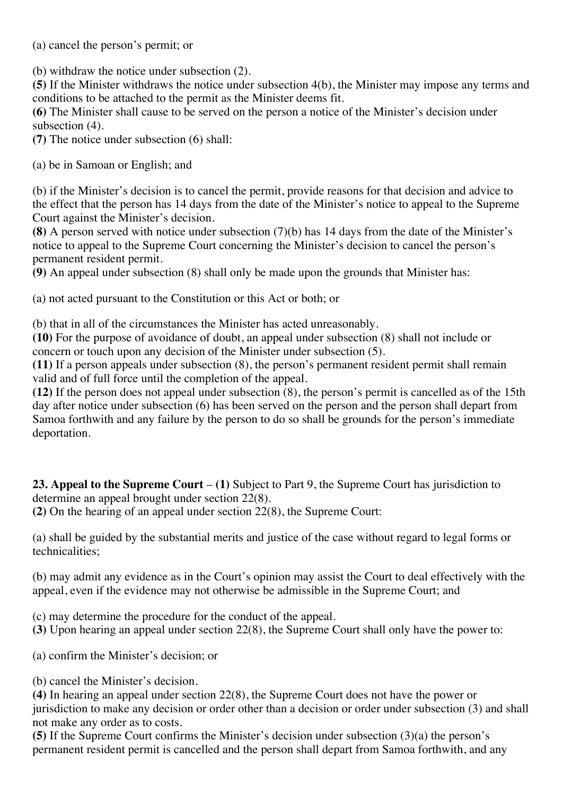(a) cancel the person's permit; or

(b) withdraw the notice under subsection (2).

**(5)** If the Minister withdraws the notice under subsection 4(b), the Minister may impose any terms and conditions to be attached to the permit as the Minister deems fit.

**(6)** The Minister shall cause to be served on the person a notice of the Minister's decision under subsection  $(4)$ .

**(7)** The notice under subsection (6) shall:

(a) be in Samoan or English; and

(b) if the Minister's decision is to cancel the permit, provide reasons for that decision and advice to the effect that the person has 14 days from the date of the Minister's notice to appeal to the Supreme Court against the Minister's decision.

**(8)** A person served with notice under subsection (7)(b) has 14 days from the date of the Minister's notice to appeal to the Supreme Court concerning the Minister's decision to cancel the person's permanent resident permit.

**(9)** An appeal under subsection (8) shall only be made upon the grounds that Minister has:

(a) not acted pursuant to the Constitution or this Act or both; or

(b) that in all of the circumstances the Minister has acted unreasonably.

**(10)** For the purpose of avoidance of doubt, an appeal under subsection (8) shall not include or concern or touch upon any decision of the Minister under subsection (5).

**(11)** If a person appeals under subsection (8), the person's permanent resident permit shall remain valid and of full force until the completion of the appeal.

**(12)** If the person does not appeal under subsection (8), the person's permit is cancelled as of the 15th day after notice under subsection (6) has been served on the person and the person shall depart from Samoa forthwith and any failure by the person to do so shall be grounds for the person's immediate deportation.

**23. Appeal to the Supreme Court** – **(1)** Subject to Part 9, the Supreme Court has jurisdiction to determine an appeal brought under section 22(8).

**(2)** On the hearing of an appeal under section 22(8), the Supreme Court:

(a) shall be guided by the substantial merits and justice of the case without regard to legal forms or technicalities;

(b) may admit any evidence as in the Court's opinion may assist the Court to deal effectively with the appeal, even if the evidence may not otherwise be admissible in the Supreme Court; and

(c) may determine the procedure for the conduct of the appeal.

**(3)** Upon hearing an appeal under section 22(8), the Supreme Court shall only have the power to:

- (a) confirm the Minister's decision; or
- (b) cancel the Minister's decision.

**(4)** In hearing an appeal under section 22(8), the Supreme Court does not have the power or jurisdiction to make any decision or order other than a decision or order under subsection (3) and shall not make any order as to costs.

**(5)** If the Supreme Court confirms the Minister's decision under subsection (3)(a) the person's permanent resident permit is cancelled and the person shall depart from Samoa forthwith, and any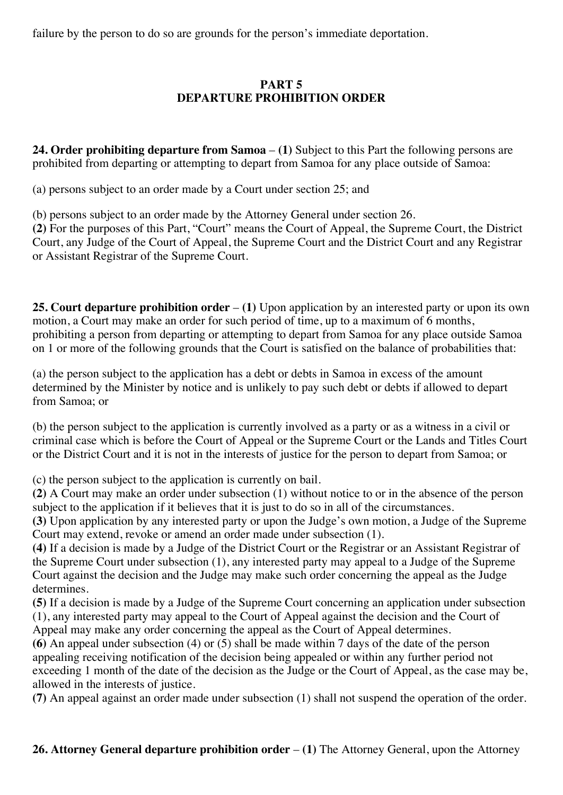failure by the person to do so are grounds for the person's immediate deportation.

### **PART 5 DEPARTURE PROHIBITION ORDER**

**24. Order prohibiting departure from Samoa** – **(1)** Subject to this Part the following persons are prohibited from departing or attempting to depart from Samoa for any place outside of Samoa:

(a) persons subject to an order made by a Court under section 25; and

(b) persons subject to an order made by the Attorney General under section 26.

**(2)** For the purposes of this Part, "Court" means the Court of Appeal, the Supreme Court, the District Court, any Judge of the Court of Appeal, the Supreme Court and the District Court and any Registrar or Assistant Registrar of the Supreme Court.

**25. Court departure prohibition order** – **(1)** Upon application by an interested party or upon its own motion, a Court may make an order for such period of time, up to a maximum of 6 months, prohibiting a person from departing or attempting to depart from Samoa for any place outside Samoa on 1 or more of the following grounds that the Court is satisfied on the balance of probabilities that:

(a) the person subject to the application has a debt or debts in Samoa in excess of the amount determined by the Minister by notice and is unlikely to pay such debt or debts if allowed to depart from Samoa; or

(b) the person subject to the application is currently involved as a party or as a witness in a civil or criminal case which is before the Court of Appeal or the Supreme Court or the Lands and Titles Court or the District Court and it is not in the interests of justice for the person to depart from Samoa; or

(c) the person subject to the application is currently on bail.

**(2)** A Court may make an order under subsection (1) without notice to or in the absence of the person subject to the application if it believes that it is just to do so in all of the circumstances.

**(3)** Upon application by any interested party or upon the Judge's own motion, a Judge of the Supreme Court may extend, revoke or amend an order made under subsection (1).

**(4)** If a decision is made by a Judge of the District Court or the Registrar or an Assistant Registrar of the Supreme Court under subsection (1), any interested party may appeal to a Judge of the Supreme Court against the decision and the Judge may make such order concerning the appeal as the Judge determines.

**(5)** If a decision is made by a Judge of the Supreme Court concerning an application under subsection (1), any interested party may appeal to the Court of Appeal against the decision and the Court of Appeal may make any order concerning the appeal as the Court of Appeal determines.

**(6)** An appeal under subsection (4) or (5) shall be made within 7 days of the date of the person appealing receiving notification of the decision being appealed or within any further period not exceeding 1 month of the date of the decision as the Judge or the Court of Appeal, as the case may be, allowed in the interests of justice.

**(7)** An appeal against an order made under subsection (1) shall not suspend the operation of the order.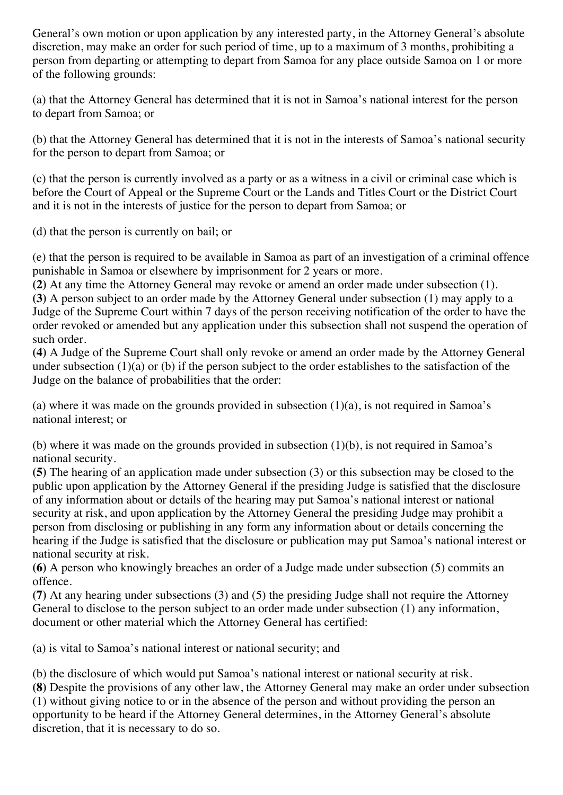General's own motion or upon application by any interested party, in the Attorney General's absolute discretion, may make an order for such period of time, up to a maximum of 3 months, prohibiting a person from departing or attempting to depart from Samoa for any place outside Samoa on 1 or more of the following grounds:

(a) that the Attorney General has determined that it is not in Samoa's national interest for the person to depart from Samoa; or

(b) that the Attorney General has determined that it is not in the interests of Samoa's national security for the person to depart from Samoa; or

(c) that the person is currently involved as a party or as a witness in a civil or criminal case which is before the Court of Appeal or the Supreme Court or the Lands and Titles Court or the District Court and it is not in the interests of justice for the person to depart from Samoa; or

(d) that the person is currently on bail; or

(e) that the person is required to be available in Samoa as part of an investigation of a criminal offence punishable in Samoa or elsewhere by imprisonment for 2 years or more.

**(2)** At any time the Attorney General may revoke or amend an order made under subsection (1).

**(3)** A person subject to an order made by the Attorney General under subsection (1) may apply to a Judge of the Supreme Court within 7 days of the person receiving notification of the order to have the order revoked or amended but any application under this subsection shall not suspend the operation of such order.

**(4)** A Judge of the Supreme Court shall only revoke or amend an order made by the Attorney General under subsection (1)(a) or (b) if the person subject to the order establishes to the satisfaction of the Judge on the balance of probabilities that the order:

(a) where it was made on the grounds provided in subsection  $(1)(a)$ , is not required in Samoa's national interest; or

(b) where it was made on the grounds provided in subsection (1)(b), is not required in Samoa's national security.

**(5)** The hearing of an application made under subsection (3) or this subsection may be closed to the public upon application by the Attorney General if the presiding Judge is satisfied that the disclosure of any information about or details of the hearing may put Samoa's national interest or national security at risk, and upon application by the Attorney General the presiding Judge may prohibit a person from disclosing or publishing in any form any information about or details concerning the hearing if the Judge is satisfied that the disclosure or publication may put Samoa's national interest or national security at risk.

**(6)** A person who knowingly breaches an order of a Judge made under subsection (5) commits an offence.

**(7)** At any hearing under subsections (3) and (5) the presiding Judge shall not require the Attorney General to disclose to the person subject to an order made under subsection (1) any information, document or other material which the Attorney General has certified:

(a) is vital to Samoa's national interest or national security; and

(b) the disclosure of which would put Samoa's national interest or national security at risk.

**(8)** Despite the provisions of any other law, the Attorney General may make an order under subsection (1) without giving notice to or in the absence of the person and without providing the person an opportunity to be heard if the Attorney General determines, in the Attorney General's absolute discretion, that it is necessary to do so.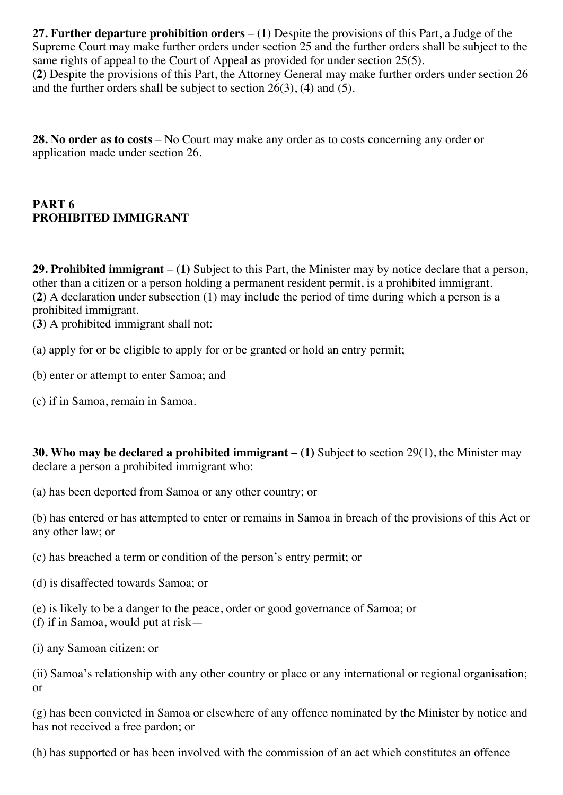**27. Further departure prohibition orders** – **(1)** Despite the provisions of this Part, a Judge of the Supreme Court may make further orders under section 25 and the further orders shall be subject to the same rights of appeal to the Court of Appeal as provided for under section 25(5). **(2)** Despite the provisions of this Part, the Attorney General may make further orders under section 26 and the further orders shall be subject to section 26(3), (4) and (5).

**28. No order as to costs** – No Court may make any order as to costs concerning any order or application made under section 26.

### **PART 6 PROHIBITED IMMIGRANT**

**29. Prohibited immigrant** – **(1)** Subject to this Part, the Minister may by notice declare that a person, other than a citizen or a person holding a permanent resident permit, is a prohibited immigrant. **(2)** A declaration under subsection (1) may include the period of time during which a person is a prohibited immigrant.

**(3)** A prohibited immigrant shall not:

(a) apply for or be eligible to apply for or be granted or hold an entry permit;

- (b) enter or attempt to enter Samoa; and
- (c) if in Samoa, remain in Samoa.

**30. Who may be declared a prohibited immigrant – (1)** Subject to section 29(1), the Minister may declare a person a prohibited immigrant who:

(a) has been deported from Samoa or any other country; or

(b) has entered or has attempted to enter or remains in Samoa in breach of the provisions of this Act or any other law; or

(c) has breached a term or condition of the person's entry permit; or

(d) is disaffected towards Samoa; or

(e) is likely to be a danger to the peace, order or good governance of Samoa; or (f) if in Samoa, would put at risk—

(i) any Samoan citizen; or

(ii) Samoa's relationship with any other country or place or any international or regional organisation; or

(g) has been convicted in Samoa or elsewhere of any offence nominated by the Minister by notice and has not received a free pardon; or

(h) has supported or has been involved with the commission of an act which constitutes an offence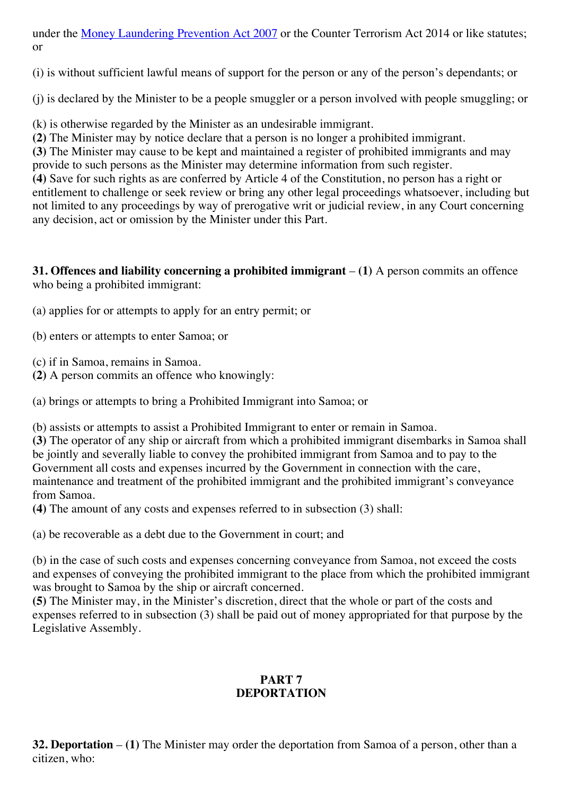under the Money [Laundering](http://www.paclii.org/ws/legis/consol_act/mlpa2007311/) Prevention Act 2007 or the Counter Terrorism Act 2014 or like statutes; or

(i) is without sufficient lawful means of support for the person or any of the person's dependants; or

(j) is declared by the Minister to be a people smuggler or a person involved with people smuggling; or

(k) is otherwise regarded by the Minister as an undesirable immigrant.

**(2)** The Minister may by notice declare that a person is no longer a prohibited immigrant.

**(3)** The Minister may cause to be kept and maintained a register of prohibited immigrants and may provide to such persons as the Minister may determine information from such register.

**(4)** Save for such rights as are conferred by Article 4 of the Constitution, no person has a right or entitlement to challenge or seek review or bring any other legal proceedings whatsoever, including but not limited to any proceedings by way of prerogative writ or judicial review, in any Court concerning any decision, act or omission by the Minister under this Part.

**31. Offences and liability concerning a prohibited immigrant** – **(1)** A person commits an offence who being a prohibited immigrant:

- (a) applies for or attempts to apply for an entry permit; or
- (b) enters or attempts to enter Samoa; or
- (c) if in Samoa, remains in Samoa.
- **(2)** A person commits an offence who knowingly:

(a) brings or attempts to bring a Prohibited Immigrant into Samoa; or

(b) assists or attempts to assist a Prohibited Immigrant to enter or remain in Samoa.

**(3)** The operator of any ship or aircraft from which a prohibited immigrant disembarks in Samoa shall be jointly and severally liable to convey the prohibited immigrant from Samoa and to pay to the Government all costs and expenses incurred by the Government in connection with the care, maintenance and treatment of the prohibited immigrant and the prohibited immigrant's conveyance from Samoa.

**(4)** The amount of any costs and expenses referred to in subsection (3) shall:

(a) be recoverable as a debt due to the Government in court; and

(b) in the case of such costs and expenses concerning conveyance from Samoa, not exceed the costs and expenses of conveying the prohibited immigrant to the place from which the prohibited immigrant was brought to Samoa by the ship or aircraft concerned.

**(5)** The Minister may, in the Minister's discretion, direct that the whole or part of the costs and expenses referred to in subsection (3) shall be paid out of money appropriated for that purpose by the Legislative Assembly.

### **PART 7 DEPORTATION**

**32. Deportation** – **(1)** The Minister may order the deportation from Samoa of a person, other than a citizen, who: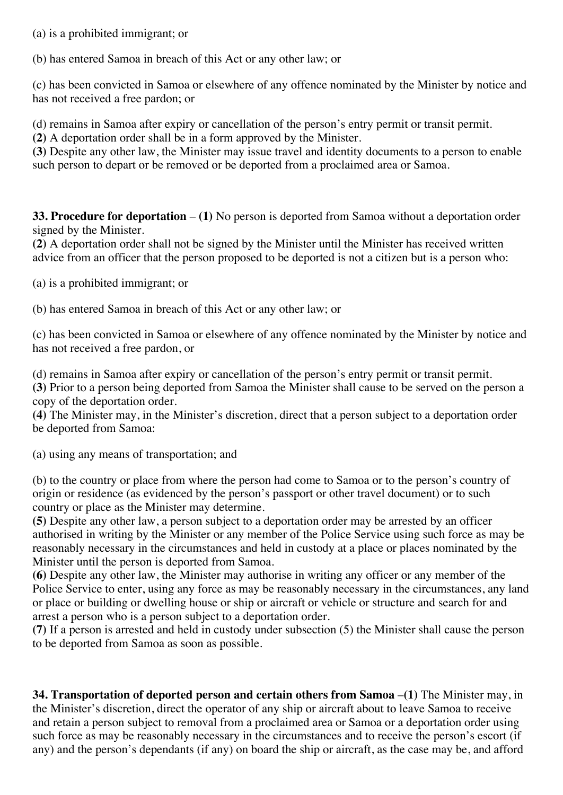(a) is a prohibited immigrant; or

(b) has entered Samoa in breach of this Act or any other law; or

(c) has been convicted in Samoa or elsewhere of any offence nominated by the Minister by notice and has not received a free pardon; or

(d) remains in Samoa after expiry or cancellation of the person's entry permit or transit permit.

**(2)** A deportation order shall be in a form approved by the Minister.

**(3)** Despite any other law, the Minister may issue travel and identity documents to a person to enable such person to depart or be removed or be deported from a proclaimed area or Samoa.

**33. Procedure for deportation** – **(1)** No person is deported from Samoa without a deportation order signed by the Minister.

**(2)** A deportation order shall not be signed by the Minister until the Minister has received written advice from an officer that the person proposed to be deported is not a citizen but is a person who:

(a) is a prohibited immigrant; or

(b) has entered Samoa in breach of this Act or any other law; or

(c) has been convicted in Samoa or elsewhere of any offence nominated by the Minister by notice and has not received a free pardon, or

(d) remains in Samoa after expiry or cancellation of the person's entry permit or transit permit.

**(3)** Prior to a person being deported from Samoa the Minister shall cause to be served on the person a copy of the deportation order.

**(4)** The Minister may, in the Minister's discretion, direct that a person subject to a deportation order be deported from Samoa:

(a) using any means of transportation; and

(b) to the country or place from where the person had come to Samoa or to the person's country of origin or residence (as evidenced by the person's passport or other travel document) or to such country or place as the Minister may determine.

**(5)** Despite any other law, a person subject to a deportation order may be arrested by an officer authorised in writing by the Minister or any member of the Police Service using such force as may be reasonably necessary in the circumstances and held in custody at a place or places nominated by the Minister until the person is deported from Samoa.

**(6)** Despite any other law, the Minister may authorise in writing any officer or any member of the Police Service to enter, using any force as may be reasonably necessary in the circumstances, any land or place or building or dwelling house or ship or aircraft or vehicle or structure and search for and arrest a person who is a person subject to a deportation order.

**(7)** If a person is arrested and held in custody under subsection (5) the Minister shall cause the person to be deported from Samoa as soon as possible.

**34. Transportation of deported person and certain others from Samoa** –**(1)** The Minister may, in the Minister's discretion, direct the operator of any ship or aircraft about to leave Samoa to receive and retain a person subject to removal from a proclaimed area or Samoa or a deportation order using such force as may be reasonably necessary in the circumstances and to receive the person's escort (if any) and the person's dependants (if any) on board the ship or aircraft, as the case may be, and afford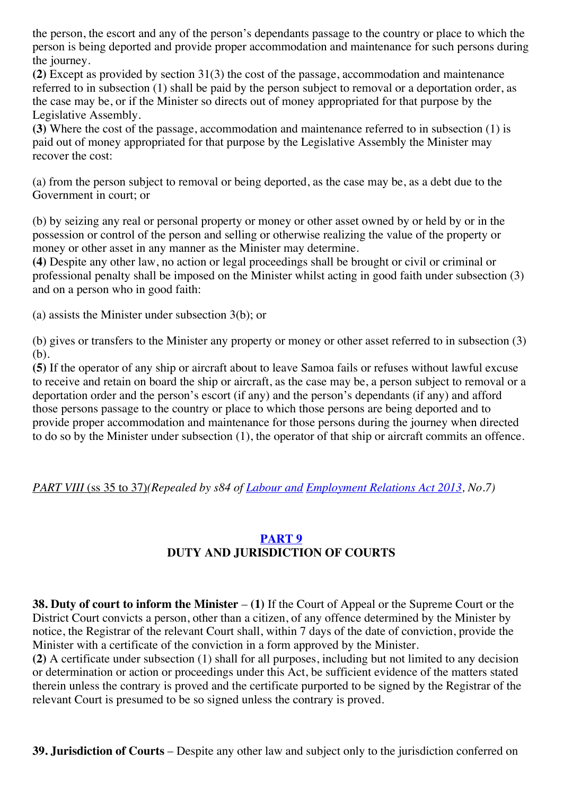the person, the escort and any of the person's dependants passage to the country or place to which the person is being deported and provide proper accommodation and maintenance for such persons during the journey.

**(2)** Except as provided by section 31(3) the cost of the passage, accommodation and maintenance referred to in subsection (1) shall be paid by the person subject to removal or a deportation order, as the case may be, or if the Minister so directs out of money appropriated for that purpose by the Legislative Assembly.

**(3)** Where the cost of the passage, accommodation and maintenance referred to in subsection (1) is paid out of money appropriated for that purpose by the Legislative Assembly the Minister may recover the cost:

(a) from the person subject to removal or being deported, as the case may be, as a debt due to the Government in court; or

(b) by seizing any real or personal property or money or other asset owned by or held by or in the possession or control of the person and selling or otherwise realizing the value of the property or money or other asset in any manner as the Minister may determine.

**(4)** Despite any other law, no action or legal proceedings shall be brought or civil or criminal or professional penalty shall be imposed on the Minister whilst acting in good faith under subsection (3) and on a person who in good faith:

(a) assists the Minister under subsection 3(b); or

(b) gives or transfers to the Minister any property or money or other asset referred to in subsection (3) (b).

**(5)** If the operator of any ship or aircraft about to leave Samoa fails or refuses without lawful excuse to receive and retain on board the ship or aircraft, as the case may be, a person subject to removal or a deportation order and the person's escort (if any) and the person's dependants (if any) and afford those persons passage to the country or place to which those persons are being deported and to provide proper accommodation and maintenance for those persons during the journey when directed to do so by the Minister under subsection (1), the operator of that ship or aircraft commits an offence.

*PART VIII* (ss 35 to 37)*(Repealed by s84 of [Labour](http://www.paclii.org/ws/legis/consol_act/laera2013332/) and [Employment](http://www.paclii.org/ws/legis/consol_act/laera2013332/) Relations Act 2013, No.7)*

#### **[PART](http://www.paclii.org/ws/legis/consol_act/laera2013332/index.html#p9) 9 DUTY AND JURISDICTION OF COURTS**

**38. Duty of court to inform the Minister** – **(1)** If the Court of Appeal or the Supreme Court or the District Court convicts a person, other than a citizen, of any offence determined by the Minister by notice, the Registrar of the relevant Court shall, within 7 days of the date of conviction, provide the Minister with a certificate of the conviction in a form approved by the Minister.

**(2)** A certificate under subsection (1) shall for all purposes, including but not limited to any decision or determination or action or proceedings under this Act, be sufficient evidence of the matters stated therein unless the contrary is proved and the certificate purported to be signed by the Registrar of the relevant Court is presumed to be so signed unless the contrary is proved.

**39. Jurisdiction of Courts** – Despite any other law and subject only to the jurisdiction conferred on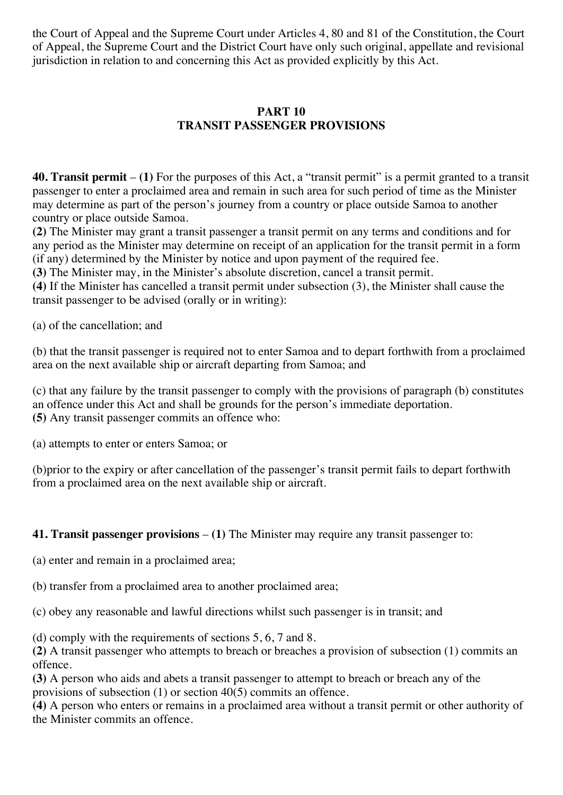the Court of Appeal and the Supreme Court under Articles 4, 80 and 81 of the Constitution, the Court of Appeal, the Supreme Court and the District Court have only such original, appellate and revisional jurisdiction in relation to and concerning this Act as provided explicitly by this Act.

#### **PART 10 TRANSIT PASSENGER PROVISIONS**

**40. Transit permit** – **(1)** For the purposes of this Act, a "transit permit" is a permit granted to a transit passenger to enter a proclaimed area and remain in such area for such period of time as the Minister may determine as part of the person's journey from a country or place outside Samoa to another country or place outside Samoa.

**(2)** The Minister may grant a transit passenger a transit permit on any terms and conditions and for any period as the Minister may determine on receipt of an application for the transit permit in a form (if any) determined by the Minister by notice and upon payment of the required fee.

**(3)** The Minister may, in the Minister's absolute discretion, cancel a transit permit.

**(4)** If the Minister has cancelled a transit permit under subsection (3), the Minister shall cause the transit passenger to be advised (orally or in writing):

(a) of the cancellation; and

(b) that the transit passenger is required not to enter Samoa and to depart forthwith from a proclaimed area on the next available ship or aircraft departing from Samoa; and

(c) that any failure by the transit passenger to comply with the provisions of paragraph (b) constitutes an offence under this Act and shall be grounds for the person's immediate deportation. **(5)** Any transit passenger commits an offence who:

(a) attempts to enter or enters Samoa; or

(b)prior to the expiry or after cancellation of the passenger's transit permit fails to depart forthwith from a proclaimed area on the next available ship or aircraft.

**41. Transit passenger provisions** – **(1)** The Minister may require any transit passenger to:

(a) enter and remain in a proclaimed area;

(b) transfer from a proclaimed area to another proclaimed area;

(c) obey any reasonable and lawful directions whilst such passenger is in transit; and

(d) comply with the requirements of sections 5, 6, 7 and 8.

**(2)** A transit passenger who attempts to breach or breaches a provision of subsection (1) commits an offence.

**(3)** A person who aids and abets a transit passenger to attempt to breach or breach any of the provisions of subsection (1) or section 40(5) commits an offence.

**(4)** A person who enters or remains in a proclaimed area without a transit permit or other authority of the Minister commits an offence.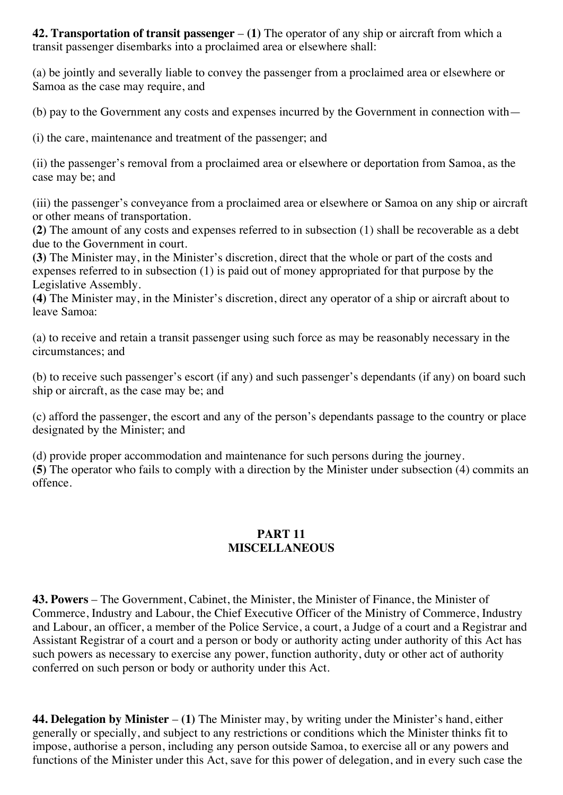**42. Transportation of transit passenger** – **(1)** The operator of any ship or aircraft from which a transit passenger disembarks into a proclaimed area or elsewhere shall:

(a) be jointly and severally liable to convey the passenger from a proclaimed area or elsewhere or Samoa as the case may require, and

(b) pay to the Government any costs and expenses incurred by the Government in connection with—

(i) the care, maintenance and treatment of the passenger; and

(ii) the passenger's removal from a proclaimed area or elsewhere or deportation from Samoa, as the case may be; and

(iii) the passenger's conveyance from a proclaimed area or elsewhere or Samoa on any ship or aircraft or other means of transportation.

**(2)** The amount of any costs and expenses referred to in subsection (1) shall be recoverable as a debt due to the Government in court.

**(3)** The Minister may, in the Minister's discretion, direct that the whole or part of the costs and expenses referred to in subsection (1) is paid out of money appropriated for that purpose by the Legislative Assembly.

**(4)** The Minister may, in the Minister's discretion, direct any operator of a ship or aircraft about to leave Samoa:

(a) to receive and retain a transit passenger using such force as may be reasonably necessary in the circumstances; and

(b) to receive such passenger's escort (if any) and such passenger's dependants (if any) on board such ship or aircraft, as the case may be; and

(c) afford the passenger, the escort and any of the person's dependants passage to the country or place designated by the Minister; and

(d) provide proper accommodation and maintenance for such persons during the journey. **(5)** The operator who fails to comply with a direction by the Minister under subsection (4) commits an offence.

### **PART 11 MISCELLANEOUS**

**43. Powers** – The Government, Cabinet, the Minister, the Minister of Finance, the Minister of Commerce, Industry and Labour, the Chief Executive Officer of the Ministry of Commerce, Industry and Labour, an officer, a member of the Police Service, a court, a Judge of a court and a Registrar and Assistant Registrar of a court and a person or body or authority acting under authority of this Act has such powers as necessary to exercise any power, function authority, duty or other act of authority conferred on such person or body or authority under this Act.

**44. Delegation by Minister** – **(1)** The Minister may, by writing under the Minister's hand, either generally or specially, and subject to any restrictions or conditions which the Minister thinks fit to impose, authorise a person, including any person outside Samoa, to exercise all or any powers and functions of the Minister under this Act, save for this power of delegation, and in every such case the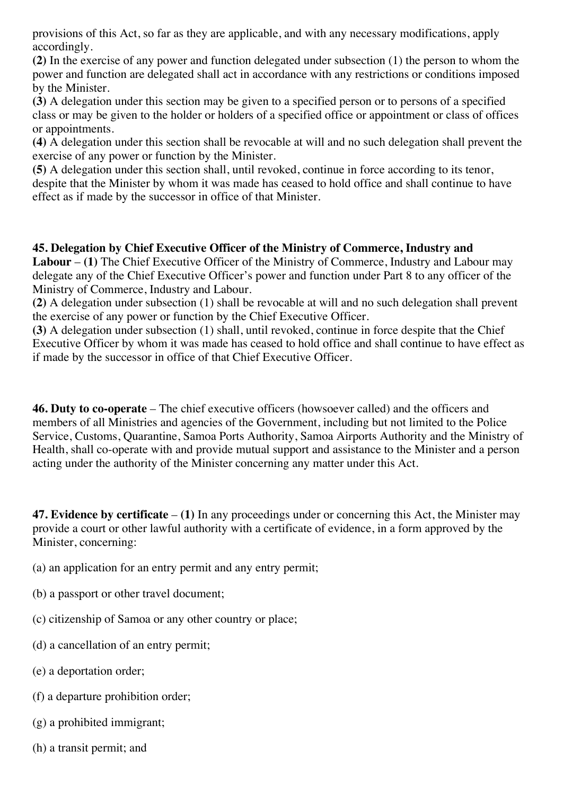provisions of this Act, so far as they are applicable, and with any necessary modifications, apply accordingly.

**(2)** In the exercise of any power and function delegated under subsection (1) the person to whom the power and function are delegated shall act in accordance with any restrictions or conditions imposed by the Minister.

**(3)** A delegation under this section may be given to a specified person or to persons of a specified class or may be given to the holder or holders of a specified office or appointment or class of offices or appointments.

**(4)** A delegation under this section shall be revocable at will and no such delegation shall prevent the exercise of any power or function by the Minister.

**(5)** A delegation under this section shall, until revoked, continue in force according to its tenor, despite that the Minister by whom it was made has ceased to hold office and shall continue to have effect as if made by the successor in office of that Minister.

**45. Delegation by Chief Executive Officer of the Ministry of Commerce, Industry and Labour** – **(1)** The Chief Executive Officer of the Ministry of Commerce, Industry and Labour may delegate any of the Chief Executive Officer's power and function under Part 8 to any officer of the Ministry of Commerce, Industry and Labour.

**(2)** A delegation under subsection (1) shall be revocable at will and no such delegation shall prevent the exercise of any power or function by the Chief Executive Officer.

**(3)** A delegation under subsection (1) shall, until revoked, continue in force despite that the Chief Executive Officer by whom it was made has ceased to hold office and shall continue to have effect as if made by the successor in office of that Chief Executive Officer.

**46. Duty to co-operate** – The chief executive officers (howsoever called) and the officers and members of all Ministries and agencies of the Government, including but not limited to the Police Service, Customs, Quarantine, Samoa Ports Authority, Samoa Airports Authority and the Ministry of Health, shall co-operate with and provide mutual support and assistance to the Minister and a person acting under the authority of the Minister concerning any matter under this Act.

**47. Evidence by certificate** – **(1)** In any proceedings under or concerning this Act, the Minister may provide a court or other lawful authority with a certificate of evidence, in a form approved by the Minister, concerning:

(a) an application for an entry permit and any entry permit;

- (b) a passport or other travel document;
- (c) citizenship of Samoa or any other country or place;
- (d) a cancellation of an entry permit;
- (e) a deportation order;
- (f) a departure prohibition order;
- (g) a prohibited immigrant;
- (h) a transit permit; and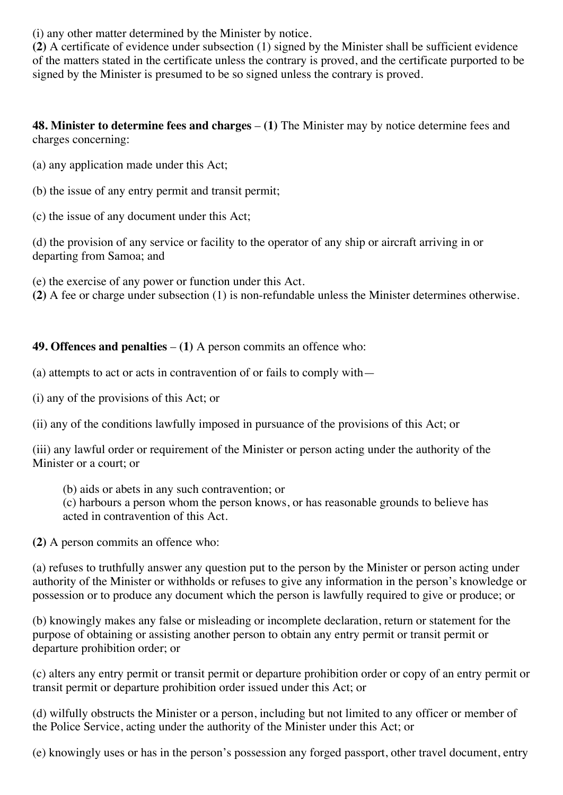(i) any other matter determined by the Minister by notice.

**(2)** A certificate of evidence under subsection (1) signed by the Minister shall be sufficient evidence of the matters stated in the certificate unless the contrary is proved, and the certificate purported to be signed by the Minister is presumed to be so signed unless the contrary is proved.

**48. Minister to determine fees and charges** – **(1)** The Minister may by notice determine fees and charges concerning:

- (a) any application made under this Act;
- (b) the issue of any entry permit and transit permit;
- (c) the issue of any document under this Act;

(d) the provision of any service or facility to the operator of any ship or aircraft arriving in or departing from Samoa; and

(e) the exercise of any power or function under this Act.

**(2)** A fee or charge under subsection (1) is non-refundable unless the Minister determines otherwise.

### **49. Offences and penalties** – **(1)** A person commits an offence who:

- (a) attempts to act or acts in contravention of or fails to comply with—
- (i) any of the provisions of this Act; or

(ii) any of the conditions lawfully imposed in pursuance of the provisions of this Act; or

(iii) any lawful order or requirement of the Minister or person acting under the authority of the Minister or a court; or

(b) aids or abets in any such contravention; or

(c) harbours a person whom the person knows, or has reasonable grounds to believe has acted in contravention of this Act.

**(2)** A person commits an offence who:

(a) refuses to truthfully answer any question put to the person by the Minister or person acting under authority of the Minister or withholds or refuses to give any information in the person's knowledge or possession or to produce any document which the person is lawfully required to give or produce; or

(b) knowingly makes any false or misleading or incomplete declaration, return or statement for the purpose of obtaining or assisting another person to obtain any entry permit or transit permit or departure prohibition order; or

(c) alters any entry permit or transit permit or departure prohibition order or copy of an entry permit or transit permit or departure prohibition order issued under this Act; or

(d) wilfully obstructs the Minister or a person, including but not limited to any officer or member of the Police Service, acting under the authority of the Minister under this Act; or

(e) knowingly uses or has in the person's possession any forged passport, other travel document, entry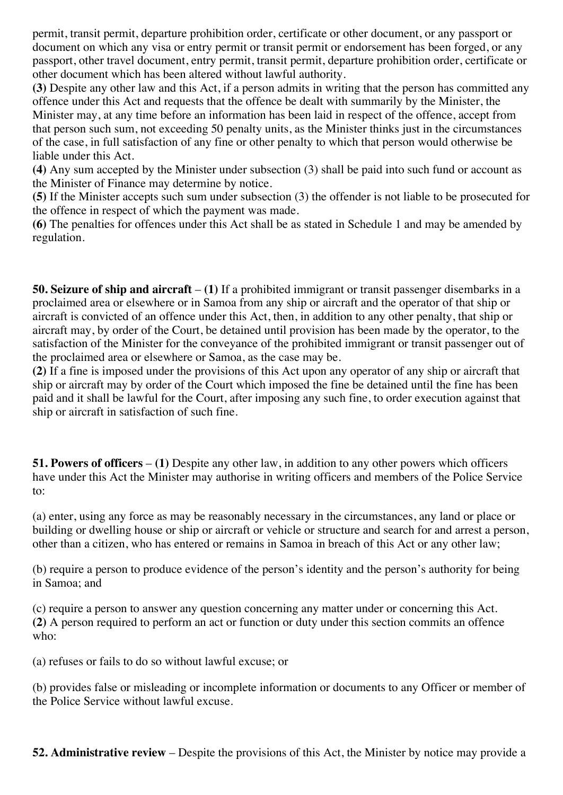permit, transit permit, departure prohibition order, certificate or other document, or any passport or document on which any visa or entry permit or transit permit or endorsement has been forged, or any passport, other travel document, entry permit, transit permit, departure prohibition order, certificate or other document which has been altered without lawful authority.

**(3)** Despite any other law and this Act, if a person admits in writing that the person has committed any offence under this Act and requests that the offence be dealt with summarily by the Minister, the Minister may, at any time before an information has been laid in respect of the offence, accept from that person such sum, not exceeding 50 penalty units, as the Minister thinks just in the circumstances of the case, in full satisfaction of any fine or other penalty to which that person would otherwise be liable under this Act.

**(4)** Any sum accepted by the Minister under subsection (3) shall be paid into such fund or account as the Minister of Finance may determine by notice.

**(5)** If the Minister accepts such sum under subsection (3) the offender is not liable to be prosecuted for the offence in respect of which the payment was made.

**(6)** The penalties for offences under this Act shall be as stated in Schedule 1 and may be amended by regulation.

**50. Seizure of ship and aircraft** – **(1)** If a prohibited immigrant or transit passenger disembarks in a proclaimed area or elsewhere or in Samoa from any ship or aircraft and the operator of that ship or aircraft is convicted of an offence under this Act, then, in addition to any other penalty, that ship or aircraft may, by order of the Court, be detained until provision has been made by the operator, to the satisfaction of the Minister for the conveyance of the prohibited immigrant or transit passenger out of the proclaimed area or elsewhere or Samoa, as the case may be.

**(2)** If a fine is imposed under the provisions of this Act upon any operator of any ship or aircraft that ship or aircraft may by order of the Court which imposed the fine be detained until the fine has been paid and it shall be lawful for the Court, after imposing any such fine, to order execution against that ship or aircraft in satisfaction of such fine.

**51. Powers of officers** – **(1)** Despite any other law, in addition to any other powers which officers have under this Act the Minister may authorise in writing officers and members of the Police Service to:

(a) enter, using any force as may be reasonably necessary in the circumstances, any land or place or building or dwelling house or ship or aircraft or vehicle or structure and search for and arrest a person, other than a citizen, who has entered or remains in Samoa in breach of this Act or any other law;

(b) require a person to produce evidence of the person's identity and the person's authority for being in Samoa; and

(c) require a person to answer any question concerning any matter under or concerning this Act. **(2)** A person required to perform an act or function or duty under this section commits an offence who:

(a) refuses or fails to do so without lawful excuse; or

(b) provides false or misleading or incomplete information or documents to any Officer or member of the Police Service without lawful excuse.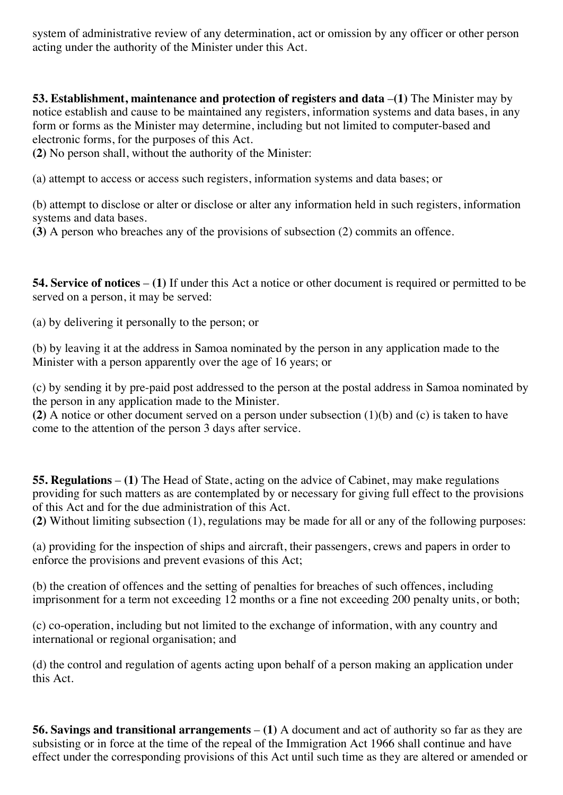system of administrative review of any determination, act or omission by any officer or other person acting under the authority of the Minister under this Act.

**53. Establishment, maintenance and protection of registers and data** –**(1)** The Minister may by notice establish and cause to be maintained any registers, information systems and data bases, in any form or forms as the Minister may determine, including but not limited to computer-based and electronic forms, for the purposes of this Act.

**(2)** No person shall, without the authority of the Minister:

(a) attempt to access or access such registers, information systems and data bases; or

(b) attempt to disclose or alter or disclose or alter any information held in such registers, information systems and data bases.

**(3)** A person who breaches any of the provisions of subsection (2) commits an offence.

**54. Service of notices** – **(1)** If under this Act a notice or other document is required or permitted to be served on a person, it may be served:

(a) by delivering it personally to the person; or

(b) by leaving it at the address in Samoa nominated by the person in any application made to the Minister with a person apparently over the age of 16 years; or

(c) by sending it by pre-paid post addressed to the person at the postal address in Samoa nominated by the person in any application made to the Minister.

**(2)** A notice or other document served on a person under subsection (1)(b) and (c) is taken to have come to the attention of the person 3 days after service.

**55. Regulations** – **(1)** The Head of State, acting on the advice of Cabinet, may make regulations providing for such matters as are contemplated by or necessary for giving full effect to the provisions of this Act and for the due administration of this Act.

**(2)** Without limiting subsection (1), regulations may be made for all or any of the following purposes:

(a) providing for the inspection of ships and aircraft, their passengers, crews and papers in order to enforce the provisions and prevent evasions of this Act;

(b) the creation of offences and the setting of penalties for breaches of such offences, including imprisonment for a term not exceeding 12 months or a fine not exceeding 200 penalty units, or both;

(c) co-operation, including but not limited to the exchange of information, with any country and international or regional organisation; and

(d) the control and regulation of agents acting upon behalf of a person making an application under this Act.

**56. Savings and transitional arrangements** – **(1)** A document and act of authority so far as they are subsisting or in force at the time of the repeal of the Immigration Act 1966 shall continue and have effect under the corresponding provisions of this Act until such time as they are altered or amended or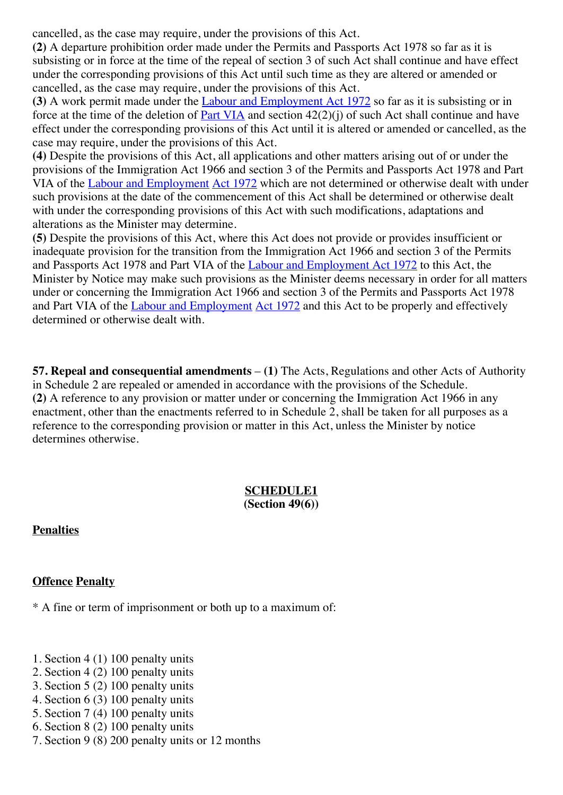cancelled, as the case may require, under the provisions of this Act.

**(2)** A departure prohibition order made under the Permits and Passports Act 1978 so far as it is subsisting or in force at the time of the repeal of section 3 of such Act shall continue and have effect under the corresponding provisions of this Act until such time as they are altered or amended or cancelled, as the case may require, under the provisions of this Act.

**(3)** A work permit made under the Labour and [Employment](http://www.paclii.org/ws/legis/num_act/laea1972228/) Act 1972 so far as it is subsisting or in force at the time of the deletion of **Part [VIA](http://www.paclii.org/ws/legis/num_act/laea1972228/index.html#p6a)** and section  $42(2)(i)$  of such Act shall continue and have effect under the corresponding provisions of this Act until it is altered or amended or cancelled, as the case may require, under the provisions of this Act.

**(4)** Despite the provisions of this Act, all applications and other matters arising out of or under the provisions of the Immigration Act 1966 and section 3 of the Permits and Passports Act 1978 and Part VIA of the Labour and [Employment](http://www.paclii.org/ws/legis/num_act/laea1972228/) Act [1972](http://www.paclii.org/ws/legis/num_act/laea1972228/) which are not determined or otherwise dealt with under such provisions at the date of the commencement of this Act shall be determined or otherwise dealt with under the corresponding provisions of this Act with such modifications, adaptations and alterations as the Minister may determine.

**(5)** Despite the provisions of this Act, where this Act does not provide or provides insufficient or inadequate provision for the transition from the Immigration Act 1966 and section 3 of the Permits and Passports Act 1978 and Part VIA of the Labour and [Employment](http://www.paclii.org/ws/legis/num_act/laea1972228/) Act 1972 to this Act, the Minister by Notice may make such provisions as the Minister deems necessary in order for all matters under or concerning the Immigration Act 1966 and section 3 of the Permits and Passports Act 1978 and Part VIA of the Labour and [Employment](http://www.paclii.org/ws/legis/num_act/laea1972228/) Act [1972](http://www.paclii.org/ws/legis/num_act/laea1972228/) and this Act to be properly and effectively determined or otherwise dealt with.

**57. Repeal and consequential amendments** – **(1)** The Acts, Regulations and other Acts of Authority in Schedule 2 are repealed or amended in accordance with the provisions of the Schedule. **(2)** A reference to any provision or matter under or concerning the Immigration Act 1966 in any enactment, other than the enactments referred to in Schedule 2, shall be taken for all purposes as a reference to the corresponding provision or matter in this Act, unless the Minister by notice determines otherwise.

#### **SCHEDULE1 (Section 49(6))**

**Penalties**

#### **Offence Penalty**

\* A fine or term of imprisonment or both up to a maximum of:

- 1. Section 4 (1) 100 penalty units
- 2. Section 4 (2) 100 penalty units
- 3. Section 5 (2) 100 penalty units
- 4. Section 6 (3) 100 penalty units
- 5. Section 7 (4) 100 penalty units
- 6. Section 8 (2) 100 penalty units
- 7. Section 9 (8) 200 penalty units or 12 months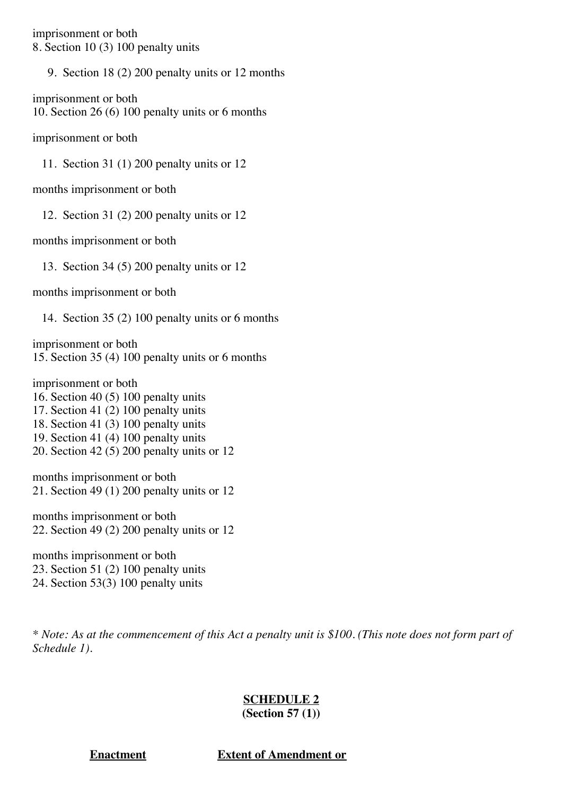imprisonment or both 8. Section 10 (3) 100 penalty units

9. Section 18 (2) 200 penalty units or 12 months

imprisonment or both 10. Section 26 (6) 100 penalty units or 6 months

imprisonment or both

11. Section 31 (1) 200 penalty units or 12

months imprisonment or both

12. Section 31 (2) 200 penalty units or 12

months imprisonment or both

13. Section 34 (5) 200 penalty units or 12

months imprisonment or both

14. Section 35 (2) 100 penalty units or 6 months

imprisonment or both 15. Section 35 (4) 100 penalty units or 6 months

imprisonment or both 16. Section 40 (5) 100 penalty units 17. Section 41 (2) 100 penalty units 18. Section 41 (3) 100 penalty units 19. Section 41 (4) 100 penalty units 20. Section 42 (5) 200 penalty units or 12

months imprisonment or both 21. Section 49 (1) 200 penalty units or 12

months imprisonment or both 22. Section 49 (2) 200 penalty units or 12

months imprisonment or both 23. Section 51 (2) 100 penalty units 24. Section 53(3) 100 penalty units

\* Note: As at the commencement of this Act a penalty unit is \$100. (This note does not form part of *Schedule 1).*

## **SCHEDULE 2**

**(Section 57 (1))**

**Enactment Extent of Amendment or**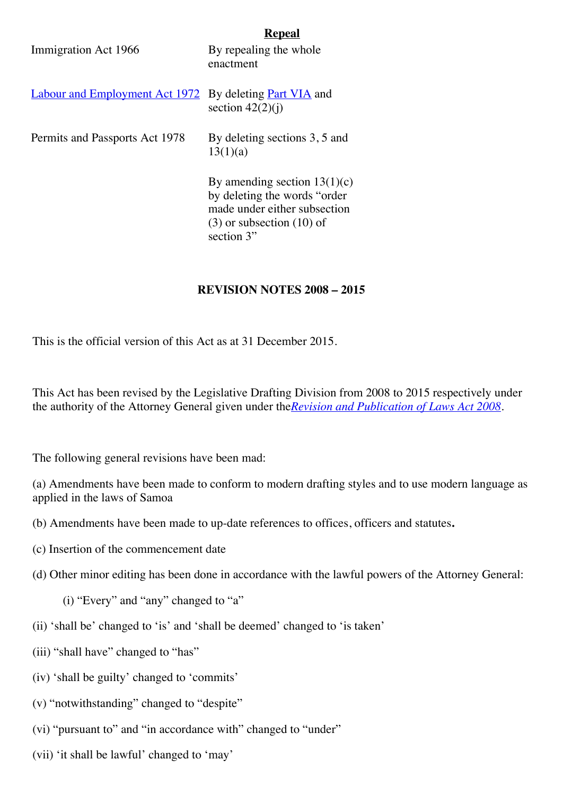|                                       | Kepeal                                                                                                                                         |
|---------------------------------------|------------------------------------------------------------------------------------------------------------------------------------------------|
| Immigration Act 1966                  | By repealing the whole<br>enactment                                                                                                            |
| <b>Labour and Employment Act 1972</b> | By deleting <b>Part VIA</b> and<br>section $42(2)(i)$                                                                                          |
| Permits and Passports Act 1978        | By deleting sections 3, 5 and<br>13(1)(a)                                                                                                      |
|                                       | By amending section $13(1)(c)$<br>by deleting the words "order"<br>made under either subsection<br>$(3)$ or subsection $(10)$ of<br>section 3" |

#### **REVISION NOTES 2008 – 2015**

This is the official version of this Act as at 31 December 2015.

This Act has been revised by the Legislative Drafting Division from 2008 to 2015 respectively under the authority of the Attorney General given under the*Revision and [Publication](http://www.paclii.org/ws/legis/consol_act/rapola2008321/) of Laws Act 2008.*

The following general revisions have been mad:

(a) Amendments have been made to conform to modern drafting styles and to use modern language as applied in the laws of Samoa

- (b) Amendments have been made to up-date references to offices, officers and statutes**.**
- (c) Insertion of the commencement date
- (d) Other minor editing has been done in accordance with the lawful powers of the Attorney General:

(i) "Every" and "any" changed to "a"

- (ii) 'shall be' changed to 'is' and 'shall be deemed' changed to 'is taken'
- (iii) "shall have" changed to "has"
- (iv) 'shall be guilty' changed to 'commits'
- (v) "notwithstanding" changed to "despite"
- (vi) "pursuant to" and "in accordance with" changed to "under"
- (vii) 'it shall be lawful' changed to 'may'